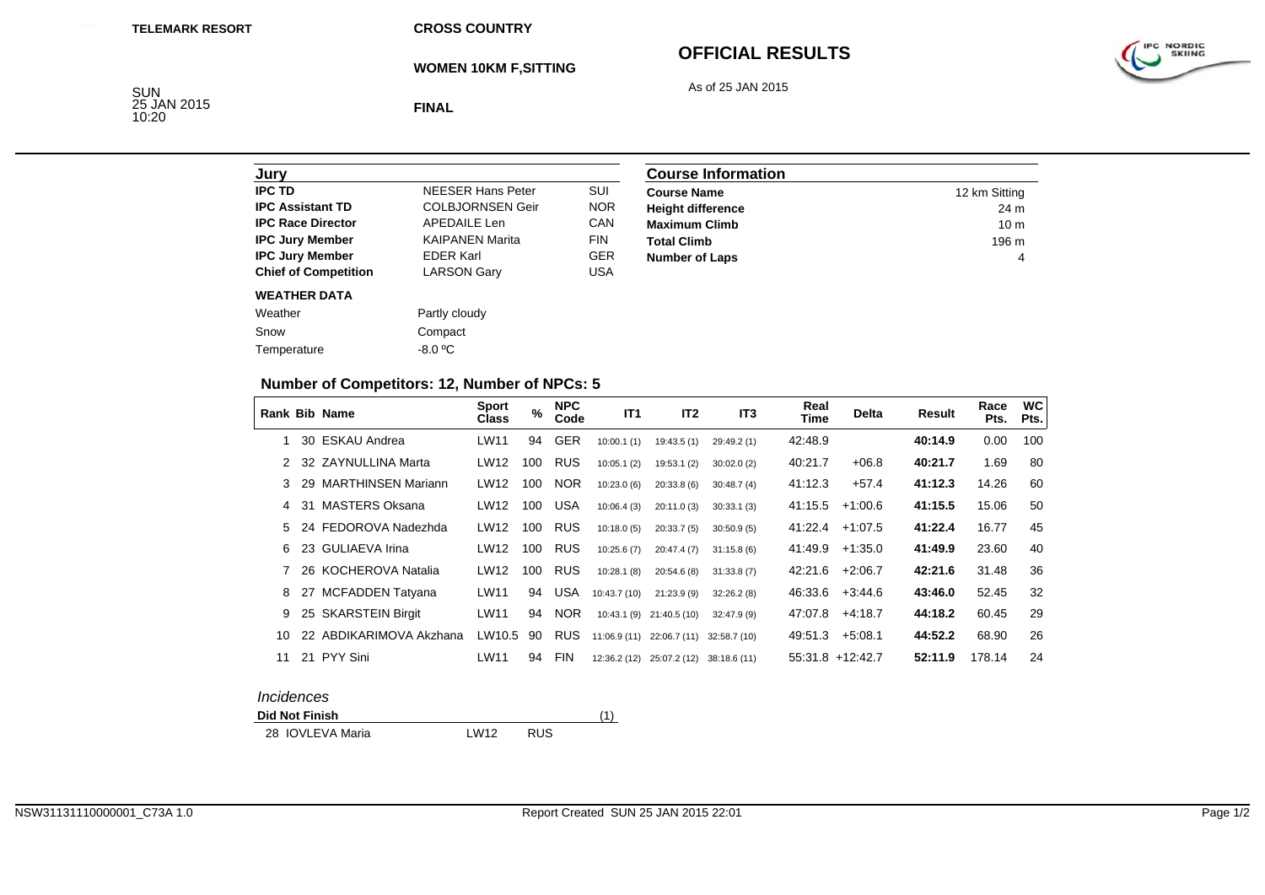**CROSS COUNTRY**

**WOMEN 10KM F,SITTING**

# **OFFICIAL RESULTS**

As of 25 JAN 2015



SUN<br>25 JAN 2015<br>10:20

**FINAL**

| Jury                        |                          |            |
|-----------------------------|--------------------------|------------|
| <b>IPC TD</b>               | <b>NEESER Hans Peter</b> | SUI        |
| <b>IPC Assistant TD</b>     | <b>COLBJORNSEN Geir</b>  | <b>NOR</b> |
| <b>IPC Race Director</b>    | <b>APEDAILE Len</b>      | CAN        |
| <b>IPC Jury Member</b>      | <b>KAIPANEN Marita</b>   | <b>FIN</b> |
| <b>IPC Jury Member</b>      | <b>FDFR Karl</b>         | <b>GER</b> |
| <b>Chief of Competition</b> | <b>LARSON Gary</b>       | USA        |
| <b>WEATHER DATA</b>         |                          |            |
| Weather                     | Partly cloudy            |            |
| Snow                        | Compact                  |            |
| Temperature                 | $-8.0 °C$                |            |

| <b>Course Information</b> |                 |
|---------------------------|-----------------|
| <b>Course Name</b>        | 12 km Sitting   |
| <b>Height difference</b>  | 24 m            |
| <b>Maximum Climb</b>      | 10 <sub>m</sub> |
| <b>Total Climb</b>        | 196 m           |
| <b>Number of Laps</b>     | 4               |

## **Number of Competitors: 12, Number of NPCs: 5**

|    |    | <b>Rank Bib Name</b>      | <b>Sport</b><br><b>Class</b> | $\%$ | <b>NPC</b><br>Code | IT <sub>1</sub> | IT <sub>2</sub> | IT <sub>3</sub> | Real<br>Time | <b>Delta</b>       | Result  | Race<br>Pts. | <b>WC</b><br>Pts. |
|----|----|---------------------------|------------------------------|------|--------------------|-----------------|-----------------|-----------------|--------------|--------------------|---------|--------------|-------------------|
|    |    | 30 ESKAU Andrea           | LW11                         | 94   | <b>GER</b>         | 10:00.1(1)      | 19:43.5(1)      | 29:49.2 (1)     | 42:48.9      |                    | 40:14.9 | 0.00         | 100               |
|    |    | 32 ZAYNULLINA Marta       | <b>LW12</b>                  | 100  | <b>RUS</b>         | 10:05.1(2)      | 19:53.1(2)      | 30:02.0(2)      | 40:21.7      | $+06.8$            | 40:21.7 | 1.69         | 80                |
| 3  | 29 | <b>MARTHINSEN Mariann</b> | LW12                         | 100  | <b>NOR</b>         | 10:23.0(6)      | 20:33.8(6)      | 30:48.7(4)      | 41:12.3      | $+57.4$            | 41:12.3 | 14.26        | 60                |
| 4  | 31 | <b>MASTERS Oksana</b>     | LW12                         | 100  | <b>USA</b>         | 10:06.4(3)      | 20:11.0(3)      | 30:33.1(3)      | 41:15.5      | $+1:00.6$          | 41:15.5 | 15.06        | 50                |
| 5  |    | 24 FEDOROVA Nadezhda      | LW12                         | 100  | <b>RUS</b>         | 10:18.0(5)      | 20:33.7(5)      | 30:50.9(5)      | 41:22.4      | $+1:07.5$          | 41:22.4 | 16.77        | 45                |
| 6  |    | 23 GULIAEVA Irina         | LW12                         | 100  | <b>RUS</b>         | 10:25.6(7)      | 20:47.4(7)      | 31:15.8(6)      | 41:49.9      | $+1:35.0$          | 41:49.9 | 23.60        | 40                |
|    |    | 26 KOCHEROVA Natalia      | LW12                         | 100  | <b>RUS</b>         | 10:28.1(8)      | 20:54.6(8)      | 31:33.8(7)      | 42:21.6      | $+2:06.7$          | 42:21.6 | 31.48        | 36                |
| 8  | 27 | <b>MCFADDEN Tatyana</b>   | LW11                         | 94   | <b>USA</b>         | 10:43.7 (10)    | 21:23.9(9)      | 32:26.2(8)      | 46:33.6      | $+3:44.6$          | 43:46.0 | 52.45        | 32                |
| 9  |    | 25 SKARSTEIN Birgit       | LW11                         | 94   | <b>NOR</b>         | 10:43.1(9)      | 21:40.5 (10)    | 32:47.9(9)      | 47:07.8      | $+4.18.7$          | 44:18.2 | 60.45        | 29                |
| 10 |    | 22 ABDIKARIMOVA Akzhana   | LW10.5                       | 90   | <b>RUS</b>         | 11:06.9(11)     | 22:06.7(11)     | 32:58.7 (10)    | 49:51.3      | $+5:08.1$          | 44:52.2 | 68.90        | 26                |
| 11 |    | 21 PYY Sini               | LW11                         | 94   | <b>FIN</b>         | 12:36.2(12)     | 25:07.2 (12)    | 38:18.6 (11)    |              | $55:31.8$ +12:42.7 | 52:11.9 | 178.14       | 24                |

#### *Incidences*

 $\mathbf{I}$ 

**Did Not Finish** $h \tag{1}$ 28 IOVLEVA Maria **LW12 RUS**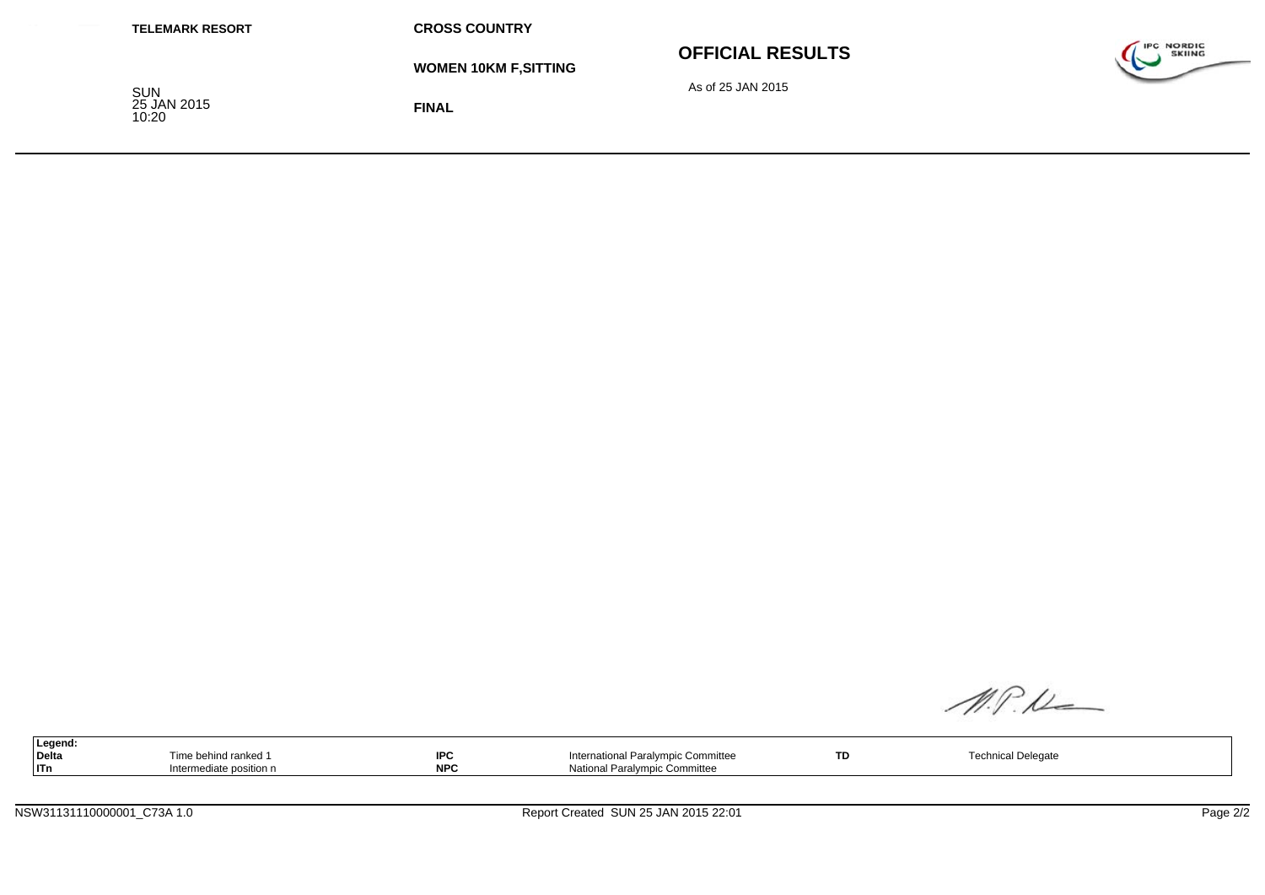| <b>TELEMARK RESORT</b>             | <b>CROSS COUNTRY</b>         |                         |                                    |
|------------------------------------|------------------------------|-------------------------|------------------------------------|
|                                    | <b>WOMEN 10KM F, SITTING</b> | <b>OFFICIAL RESULTS</b> | <b>IPC NORDIC</b><br><b>SKIING</b> |
| <b>SUN</b><br>25 JAN 2015<br>10:20 | <b>FINAL</b>                 | As of 25 JAN 2015       |                                    |

M.P.N

| Legend.      |                   |            |                                    |    |                |  |
|--------------|-------------------|------------|------------------------------------|----|----------------|--|
| <b>Delta</b> | e behind ranked i | <b>IPC</b> | International Paralympic Committee | TD | nical Delegate |  |
| ITn          | ediate position.  | <b>NPC</b> | National Paralympic Committee      |    |                |  |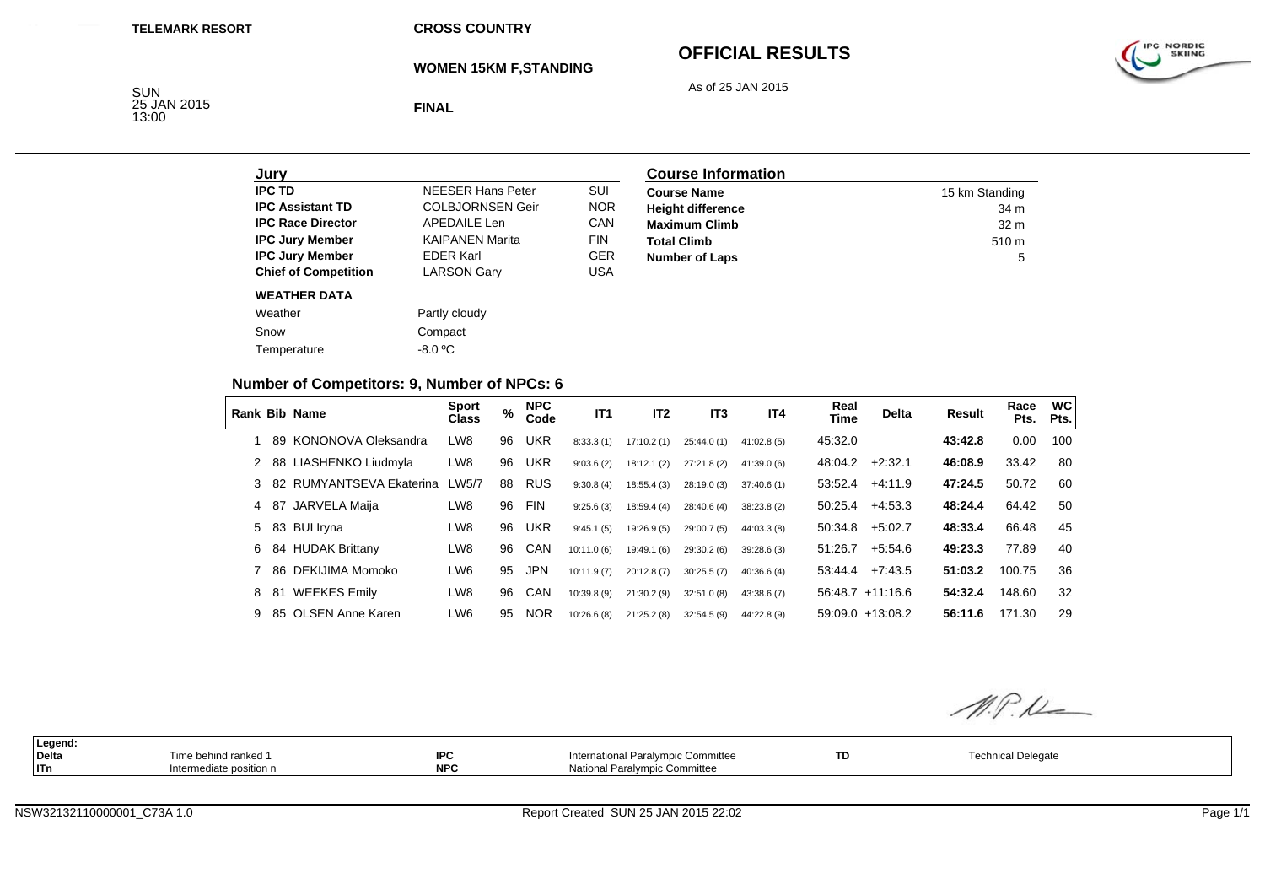**CROSS COUNTRY**

**WOMEN 15KM F,STANDING**

# **OFFICIAL RESULTS**

As of 25 JAN 2015



SUN<br>25 JAN 2015<br>13:00

**FINAL**

| Jurv                        |                          |            |
|-----------------------------|--------------------------|------------|
| <b>IPC TD</b>               | <b>NEESER Hans Peter</b> | SUI        |
| <b>IPC Assistant TD</b>     | <b>COLBJORNSEN Geir</b>  | <b>NOR</b> |
| <b>IPC Race Director</b>    | APFDAIL F Len            | CAN        |
| <b>IPC Jury Member</b>      | <b>KAIPANEN Marita</b>   | <b>FIN</b> |
| <b>IPC Jury Member</b>      | <b>FDFR Karl</b>         | <b>GER</b> |
| <b>Chief of Competition</b> | <b>LARSON Gary</b>       | USA        |
| <b>WEATHER DATA</b>         |                          |            |
| Weather                     | Partly cloudy            |            |
| Snow                        | Compact                  |            |
| Temperature                 | $-8.0 °C$                |            |

| <b>Course Information</b> |                  |
|---------------------------|------------------|
| <b>Course Name</b>        | 15 km Standing   |
| <b>Height difference</b>  | 34 m             |
| <b>Maximum Climb</b>      | 32 <sub>m</sub>  |
| <b>Total Climb</b>        | 510 <sub>m</sub> |
| <b>Number of Laps</b>     | 5                |

## **Number of Competitors: 9, Number of NPCs: 6**

|   |     | Rank Bib Name            | <b>Sport</b><br><b>Class</b> | %  | <b>NPC</b><br>Code | IT <sub>1</sub> | IT <sub>2</sub> | IT3         | IT4         | Real<br><b>Time</b> | <b>Delta</b>        | Result  | Race<br>Pts. | <b>WC</b><br>Pts. |
|---|-----|--------------------------|------------------------------|----|--------------------|-----------------|-----------------|-------------|-------------|---------------------|---------------------|---------|--------------|-------------------|
|   | 89  | KONONOVA Oleksandra      | LW8                          | 96 | <b>UKR</b>         | 8:33.3(1)       | 17:10.2(1)      | 25:44.0(1)  | 41:02.8(5)  | 45:32.0             |                     | 43:42.8 | 0.00         | 100               |
|   |     | 88 LIASHENKO Liudmyla    | LW8                          | 96 | <b>UKR</b>         | 9:03.6(2)       | 18:12.1(2)      | 27:21.8(2)  | 41:39.0(6)  | 48:04.2             | $+2:32.1$           | 46:08.9 | 33.42        | 80                |
|   |     | 82 RUMYANTSEVA Ekaterina | LW5/7                        | 88 | <b>RUS</b>         | 9:30.8(4)       | 18:55.4(3)      | 28:19.0(3)  | 37:40.6(1)  | 53:52.4             | $+4:11.9$           | 47:24.5 | 50.72        | 60                |
|   |     | 4 87 JARVELA Maija       | LW8                          | 96 | <b>FIN</b>         | 9:25.6(3)       | 18:59.4(4)      | 28:40.6(4)  | 38:23.8(2)  | 50:25.4             | $+4.53.3$           | 48:24.4 | 64.42        | 50                |
|   |     | 5 83 BUI Iryna           | LW8                          | 96 | <b>UKR</b>         | 9:45.1(5)       | 19:26.9 (5)     | 29:00.7 (5) | 44:03.3 (8) | 50:34.8             | $+5:02.7$           | 48:33.4 | 66.48        | 45                |
| 6 |     | 84 HUDAK Brittany        | LW8                          | 96 | CAN                | 10:11.0(6)      | 19:49.1 (6)     | 29:30.2(6)  | 39:28.6(3)  | 51:26.7             | $+5.54.6$           | 49:23.3 | 77.89        | 40                |
|   | 86. | DEKIJIMA Momoko          | LW6                          | 95 | <b>JPN</b>         | 10:11.9(7)      | 20:12.8(7)      | 30:25.5(7)  | 40:36.6(4)  | 53:44.4             | $+7.43.5$           | 51:03.2 | 100.75       | 36                |
| 8 | -81 | <b>WEEKES Emily</b>      | LW8                          | 96 | CAN                | 10:39.8(9)      | 21:30.2(9)      | 32:51.0(8)  | 43:38.6(7)  |                     | $56.48.7 + 11.16.6$ | 54:32.4 | 148.60       | 32                |
| 9 |     | 85 OLSEN Anne Karen      | LW6                          | 95 | <b>NOR</b>         | 10:26.6(8)      | 21:25.2(8)      | 32:54.5(9)  | 44:22.8 (9) |                     | $59:09.0 + 13:08.2$ | 56:11.6 | 171.30       | 29                |

M.P.L

| Legend:<br>Delta<br>ITn | Time behind ranked 1<br>Intermediate position n | IPC<br>NPC | International Paralympic Committee<br>National Paralympic Committee | TD | <b>Technical Delegate</b> |  |
|-------------------------|-------------------------------------------------|------------|---------------------------------------------------------------------|----|---------------------------|--|
|                         |                                                 |            |                                                                     |    |                           |  |